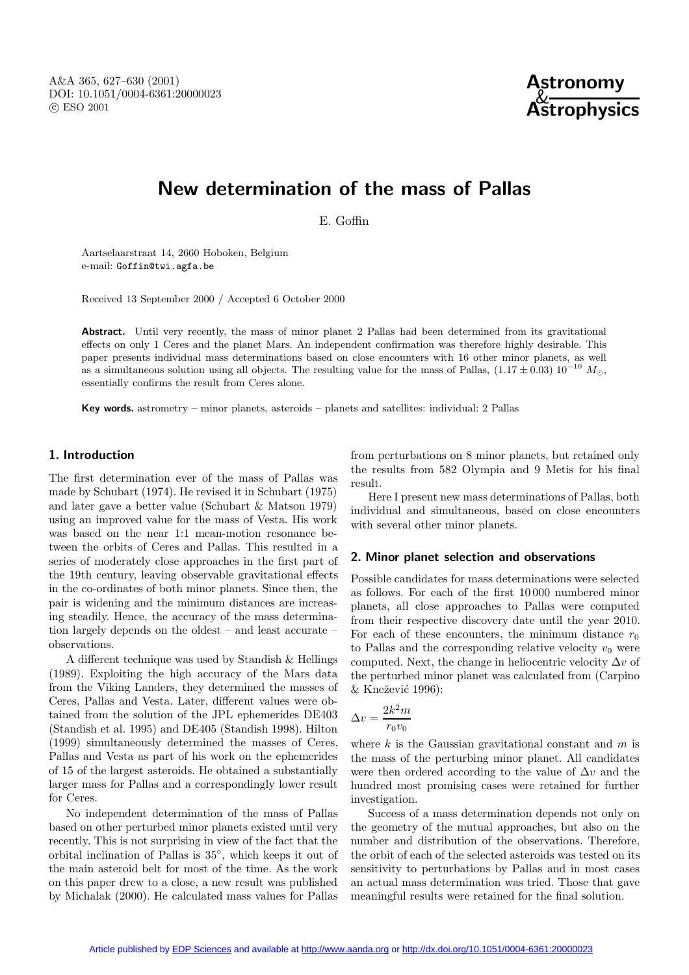

# **New determination of the mass of Pallas**

E. Goffin

Aartselaarstraat 14, 2660 Hoboken, Belgium e-mail: Goffin@twi.agfa.be

Received 13 September 2000 / Accepted 6 October 2000

**Abstract.** Until very recently, the mass of minor planet 2 Pallas had been determined from its gravitational effects on only 1 Ceres and the planet Mars. An independent confirmation was therefore highly desirable. This paper presents individual mass determinations based on close encounters with 16 other minor planets, as well as a simultaneous solution using all objects. The resulting value for the mass of Pallas,  $(1.17 \pm 0.03) 10^{-10} M_{\odot}$ , essentially confirms the result from Ceres alone.

**Key words.** astrometry – minor planets, asteroids – planets and satellites: individual: 2 Pallas

# **1. Introduction**

The first determination ever of the mass of Pallas was made by Schubart (1974). He revised it in Schubart (1975) and later gave a better value (Schubart & Matson 1979) using an improved value for the mass of Vesta. His work was based on the near 1:1 mean-motion resonance between the orbits of Ceres and Pallas. This resulted in a series of moderately close approaches in the first part of the 19th century, leaving observable gravitational effects in the co-ordinates of both minor planets. Since then, the pair is widening and the minimum distances are increasing steadily. Hence, the accuracy of the mass determination largely depends on the oldest – and least accurate – observations.

A different technique was used by Standish & Hellings (1989). Exploiting the high accuracy of the Mars data from the Viking Landers, they determined the masses of Ceres, Pallas and Vesta. Later, different values were obtained from the solution of the JPL ephemerides DE403 (Standish et al. 1995) and DE405 (Standish 1998). Hilton (1999) simultaneously determined the masses of Ceres, Pallas and Vesta as part of his work on the ephemerides of 15 of the largest asteroids. He obtained a substantially larger mass for Pallas and a correspondingly lower result for Ceres.

No independent determination of the mass of Pallas based on other perturbed minor planets existed until very recently. This is not surprising in view of the fact that the orbital inclination of Pallas is 35◦, which keeps it out of the main asteroid belt for most of the time. As the work on this paper drew to a close, a new result was published by Michalak (2000). He calculated mass values for Pallas

from perturbations on 8 minor planets, but retained only the results from 582 Olympia and 9 Metis for his final result.

Here I present new mass determinations of Pallas, both individual and simultaneous, based on close encounters with several other minor planets.

### **2. Minor planet selection and observations**

Possible candidates for mass determinations were selected as follows. For each of the first 10 000 numbered minor planets, all close approaches to Pallas were computed from their respective discovery date until the year 2010. For each of these encounters, the minimum distance  $r_0$ to Pallas and the corresponding relative velocity  $v_0$  were computed. Next, the change in heliocentric velocity  $\Delta v$  of the perturbed minor planet was calculated from (Carpino  $&$  Knežević 1996):

$$
\Delta v = \frac{2k^2m}{r_0v_0}
$$

where k is the Gaussian gravitational constant and  $m$  is the mass of the perturbing minor planet. All candidates were then ordered according to the value of  $\Delta v$  and the hundred most promising cases were retained for further investigation.

Success of a mass determination depends not only on the geometry of the mutual approaches, but also on the number and distribution of the observations. Therefore, the orbit of each of the selected asteroids was tested on its sensitivity to perturbations by Pallas and in most cases an actual mass determination was tried. Those that gave meaningful results were retained for the final solution.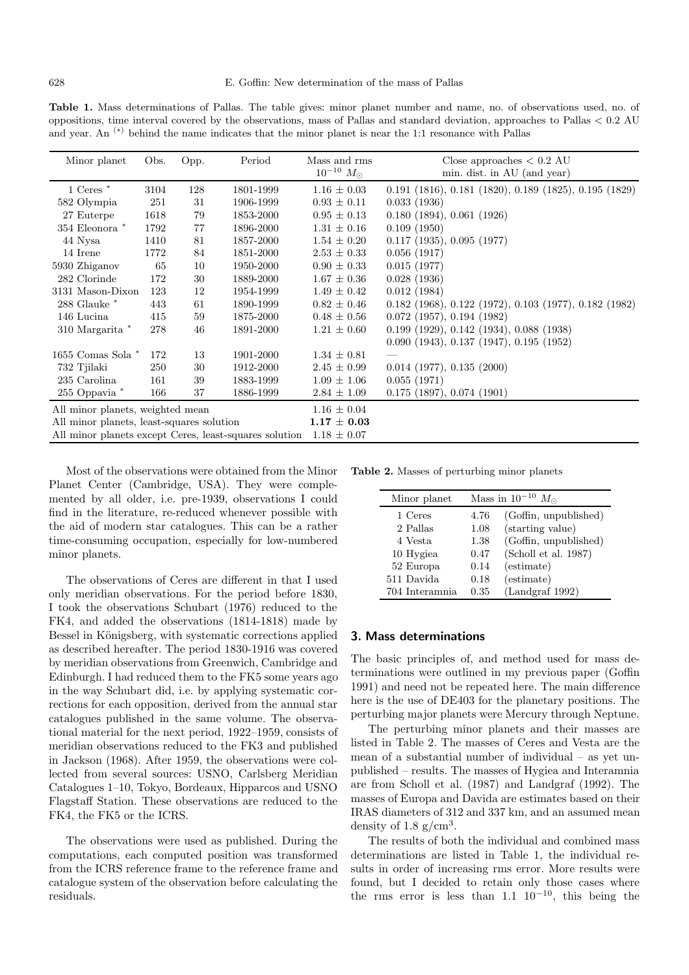**Table 1.** Mass determinations of Pallas. The table gives: minor planet number and name, no. of observations used, no. of oppositions, time interval covered by the observations, mass of Pallas and standard deviation, approaches to Pallas < 0.2 AU and year. An  $(*)$  behind the name indicates that the minor planet is near the 1:1 resonance with Pallas

| Minor planet                                           | Obs. | Opp. | Period    | Mass and rms<br>$10^{-10}$ $M_{\odot}$ | Close approaches $< 0.2 \text{ AU}$<br>min. dist. in AU (and year) |
|--------------------------------------------------------|------|------|-----------|----------------------------------------|--------------------------------------------------------------------|
| $1$ Ceres $*$                                          | 3104 | 128  | 1801-1999 | $1.16 \pm 0.03$                        | $0.191$ (1816), $0.181$ (1820), $0.189$ (1825), $0.195$ (1829)     |
| 582 Olympia                                            | 251  | 31   | 1906-1999 | $0.93 \pm 0.11$                        | 0.033(1936)                                                        |
| 27 Euterpe                                             | 1618 | 79   | 1853-2000 | $0.95 \pm 0.13$                        | 0.180(1894), 0.061(1926)                                           |
| 354 Eleonora *                                         | 1792 | 77   | 1896-2000 | $1.31 \pm 0.16$                        | 0.109(1950)                                                        |
| 44 Nysa                                                | 1410 | 81   | 1857-2000 | $1.54 \pm 0.20$                        | $0.117$ (1935), $0.095$ (1977)                                     |
| 14 Irene                                               | 1772 | 84   | 1851-2000 | $2.53 \pm 0.33$                        | 0.056(1917)                                                        |
| 5930 Zhiganov                                          | 65   | 10   | 1950-2000 | $0.90 \pm 0.33$                        | 0.015(1977)                                                        |
| 282 Clorinde                                           | 172  | 30   | 1889-2000 | $1.67 \pm 0.36$                        | 0.028(1936)                                                        |
| 3131 Mason-Dixon                                       | 123  | 12   | 1954-1999 | $1.49 \pm 0.42$                        | 0.012(1984)                                                        |
| $288$ Glauke $*$                                       | 443  | 61   | 1890-1999 | $0.82 \pm 0.46$                        | $0.182$ (1968), $0.122$ (1972), $0.103$ (1977), $0.182$ (1982)     |
| 146 Lucina                                             | 415  | 59   | 1875-2000 | $0.48 \pm 0.56$                        | $0.072$ (1957), $0.194$ (1982)                                     |
| 310 Margarita *                                        | 278  | 46   | 1891-2000 | $1.21 \pm 0.60$                        | 0.199(1929), 0.142(1934), 0.088(1938)                              |
|                                                        |      |      |           |                                        | 0.090(1943), 0.137(1947), 0.195(1952)                              |
| 1655 Comas Sola *                                      | 172  | 13   | 1901-2000 | $1.34 \pm 0.81$                        |                                                                    |
| 732 Tjilaki                                            | 250  | 30   | 1912-2000 | $2.45 \pm 0.99$                        | $0.014$ (1977), $0.135$ (2000)                                     |
| 235 Carolina                                           | 161  | 39   | 1883-1999 | $1.09 \pm 1.06$                        | 0.055(1971)                                                        |
| 255 Oppavia *                                          | 166  | 37   | 1886-1999 | $2.84 \pm 1.09$                        | $0.175$ (1897), $0.074$ (1901)                                     |
| All minor planets, weighted mean                       |      |      |           | $1.16 \pm 0.04$                        |                                                                    |
| All minor planets, least-squares solution              |      |      |           | $1.17 \pm 0.03$                        |                                                                    |
| All minor planets except Ceres, least-squares solution |      |      |           | $1.18 \pm 0.07$                        |                                                                    |

Most of the observations were obtained from the Minor Planet Center (Cambridge, USA). They were complemented by all older, i.e. pre-1939, observations I could find in the literature, re-reduced whenever possible with the aid of modern star catalogues. This can be a rather time-consuming occupation, especially for low-numbered minor planets.

The observations of Ceres are different in that I used only meridian observations. For the period before 1830, I took the observations Schubart (1976) reduced to the FK4, and added the observations (1814-1818) made by Bessel in Königsberg, with systematic corrections applied as described hereafter. The period 1830-1916 was covered by meridian observations from Greenwich, Cambridge and Edinburgh. I had reduced them to the FK5 some years ago in the way Schubart did, i.e. by applying systematic corrections for each opposition, derived from the annual star catalogues published in the same volume. The observational material for the next period, 1922–1959, consists of meridian observations reduced to the FK3 and published in Jackson (1968). After 1959, the observations were collected from several sources: USNO, Carlsberg Meridian Catalogues 1–10, Tokyo, Bordeaux, Hipparcos and USNO Flagstaff Station. These observations are reduced to the FK4, the FK5 or the ICRS.

The observations were used as published. During the computations, each computed position was transformed from the ICRS reference frame to the reference frame and catalogue system of the observation before calculating the residuals.

**Table 2.** Masses of perturbing minor planets

| Minor planet   | Mass in $10^{-10}$ $M_{\odot}$ |                       |  |
|----------------|--------------------------------|-----------------------|--|
| 1 Ceres        | 4.76                           | (Goffin, unpublished) |  |
| 2 Pallas       | 1.08                           | (starting value)      |  |
| 4 Vesta        | 1.38                           | (Goffin, unpublished) |  |
| 10 Hygiea      | 0.47                           | (Scholl et al. 1987)  |  |
| 52 Europa      | 0.14                           | (estimate)            |  |
| 511 Davida     | 0.18                           | (estimate)            |  |
| 704 Interamnia | 0.35                           | (Landgraf 1992)       |  |

## **3. Mass determinations**

The basic principles of, and method used for mass determinations were outlined in my previous paper (Goffin 1991) and need not be repeated here. The main difference here is the use of DE403 for the planetary positions. The perturbing major planets were Mercury through Neptune.

The perturbing minor planets and their masses are listed in Table 2. The masses of Ceres and Vesta are the mean of a substantial number of individual – as yet unpublished – results. The masses of Hygiea and Interamnia are from Scholl et al. (1987) and Landgraf (1992). The masses of Europa and Davida are estimates based on their IRAS diameters of 312 and 337 km, and an assumed mean density of 1.8  $g/cm<sup>3</sup>$ .

The results of both the individual and combined mass determinations are listed in Table 1, the individual results in order of increasing rms error. More results were found, but I decided to retain only those cases where the rms error is less than 1.1  $10^{-10}$ , this being the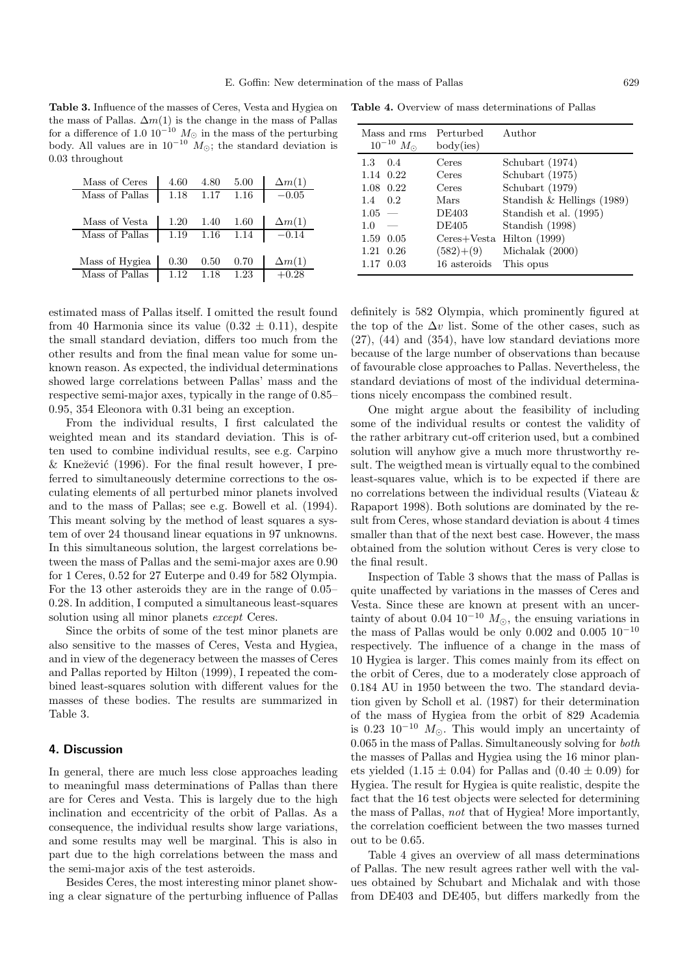**Table 3.** Influence of the masses of Ceres, Vesta and Hygiea on the mass of Pallas.  $\Delta m(1)$  is the change in the mass of Pallas for a difference of 1.0  $10^{-10}$   $M_{\odot}$  in the mass of the perturbing body. All values are in  $10^{-10}$   $M_{\odot}$ ; the standard deviation is 0.03 throughout

| Mass of Ceres  | 4.60 | 4.80 | 5.00 | $\Delta m(1)$ |
|----------------|------|------|------|---------------|
| Mass of Pallas | 1.18 | 1.17 | 1.16 | $-0.05$       |
|                |      |      |      |               |
| Mass of Vesta  | 1.20 | 1.40 | 1.60 | $\Delta m(1)$ |
| Mass of Pallas | 1.19 | 1.16 | 1.14 | $-0.14$       |
|                |      |      |      |               |
| Mass of Hygiea | 0.30 | 0.50 | 0.70 | $\Delta m(1)$ |
| Mass of Pallas | 1.12 | 1.18 | 1.23 | $+0.28$       |

estimated mass of Pallas itself. I omitted the result found from 40 Harmonia since its value  $(0.32 \pm 0.11)$ , despite the small standard deviation, differs too much from the other results and from the final mean value for some unknown reason. As expected, the individual determinations showed large correlations between Pallas' mass and the respective semi-major axes, typically in the range of 0.85– 0.95, 354 Eleonora with 0.31 being an exception.

From the individual results, I first calculated the weighted mean and its standard deviation. This is often used to combine individual results, see e.g. Carpino & Knežević (1996). For the final result however, I preferred to simultaneously determine corrections to the osculating elements of all perturbed minor planets involved and to the mass of Pallas; see e.g. Bowell et al. (1994). This meant solving by the method of least squares a system of over 24 thousand linear equations in 97 unknowns. In this simultaneous solution, the largest correlations between the mass of Pallas and the semi-major axes are 0.90 for 1 Ceres, 0.52 for 27 Euterpe and 0.49 for 582 Olympia. For the 13 other asteroids they are in the range of 0.05– 0.28. In addition, I computed a simultaneous least-squares solution using all minor planets *except* Ceres.

Since the orbits of some of the test minor planets are also sensitive to the masses of Ceres, Vesta and Hygiea, and in view of the degeneracy between the masses of Ceres and Pallas reported by Hilton (1999), I repeated the combined least-squares solution with different values for the masses of these bodies. The results are summarized in Table 3.

### **4. Discussion**

In general, there are much less close approaches leading to meaningful mass determinations of Pallas than there are for Ceres and Vesta. This is largely due to the high inclination and eccentricity of the orbit of Pallas. As a consequence, the individual results show large variations, and some results may well be marginal. This is also in part due to the high correlations between the mass and the semi-major axis of the test asteroids.

Besides Ceres, the most interesting minor planet showing a clear signature of the perturbing influence of Pallas

**Table 4.** Overview of mass determinations of Pallas

| Mass and rms<br>$10^{-10}$ $M_{\odot}$ | Perturbed<br>body(ies) | Author                        |
|----------------------------------------|------------------------|-------------------------------|
| $1.3\,$<br>0.4                         | Ceres                  | Schubart (1974)               |
| 1.14 0.22                              | Ceres                  | Schubart (1975)               |
| 1.08 0.22                              | Ceres                  | Schubart (1979)               |
| $1.4 \quad 0.2$                        | Mars                   | Standish $\&$ Hellings (1989) |
| $1.05 =$                               | <b>DE403</b>           | Standish et al. (1995)        |
| 1.0                                    | <b>DE405</b>           | Standish (1998)               |
| 1.59 0.05                              | $Ceres+Vesta$          | Hilton $(1999)$               |
| 1.21<br>0.26                           | $(582)+(9)$            | Michalak $(2000)$             |
| 1.17 0.03                              | 16 asteroids           | This opus                     |

definitely is 582 Olympia, which prominently figured at the top of the  $\Delta v$  list. Some of the other cases, such as (27), (44) and (354), have low standard deviations more because of the large number of observations than because of favourable close approaches to Pallas. Nevertheless, the standard deviations of most of the individual determinations nicely encompass the combined result.

One might argue about the feasibility of including some of the individual results or contest the validity of the rather arbitrary cut-off criterion used, but a combined solution will anyhow give a much more thrustworthy result. The weigthed mean is virtually equal to the combined least-squares value, which is to be expected if there are no correlations between the individual results (Viateau & Rapaport 1998). Both solutions are dominated by the result from Ceres, whose standard deviation is about 4 times smaller than that of the next best case. However, the mass obtained from the solution without Ceres is very close to the final result.

Inspection of Table 3 shows that the mass of Pallas is quite unaffected by variations in the masses of Ceres and Vesta. Since these are known at present with an uncertainty of about 0.04  $10^{-10}$   $M_{\odot}$ , the ensuing variations in the mass of Pallas would be only 0.002 and 0.005  $10^{-10}$ respectively. The influence of a change in the mass of 10 Hygiea is larger. This comes mainly from its effect on the orbit of Ceres, due to a moderately close approach of 0.184 AU in 1950 between the two. The standard deviation given by Scholl et al. (1987) for their determination of the mass of Hygiea from the orbit of 829 Academia is 0.23 10<sup>-10</sup>  $M_{\odot}$ . This would imply an uncertainty of 0.065 in the mass of Pallas. Simultaneously solving for both the masses of Pallas and Hygiea using the 16 minor planets yielded  $(1.15 \pm 0.04)$  for Pallas and  $(0.40 \pm 0.09)$  for Hygiea. The result for Hygiea is quite realistic, despite the fact that the 16 test objects were selected for determining the mass of Pallas, not that of Hygiea! More importantly, the correlation coefficient between the two masses turned out to be 0.65.

Table 4 gives an overview of all mass determinations of Pallas. The new result agrees rather well with the values obtained by Schubart and Michalak and with those from DE403 and DE405, but differs markedly from the